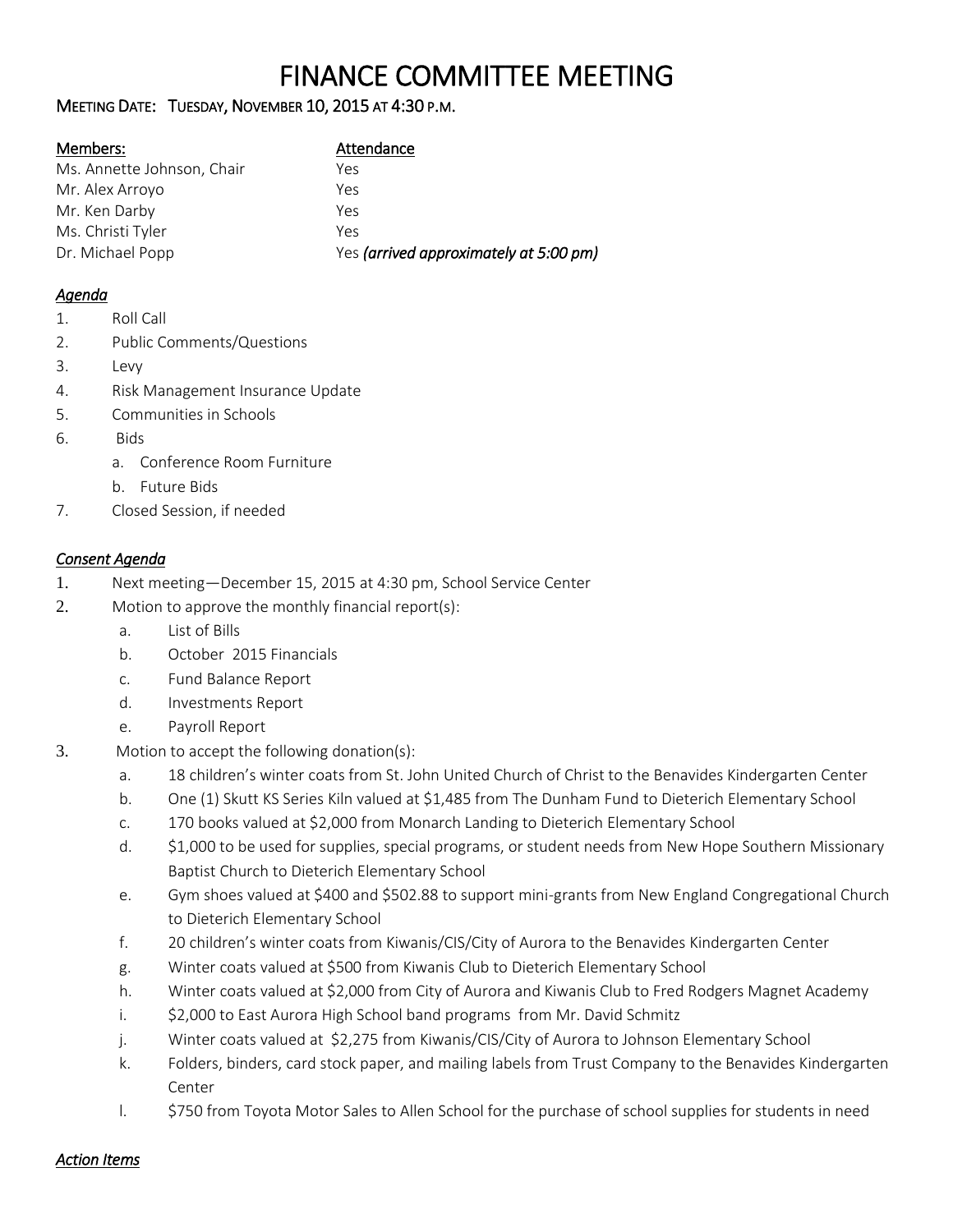# FINANCE COMMITTEE MEETING

# MEETING DATE: TUESDAY, NOVEMBER 10, 2015 AT 4:30 P.M.

| Members:                   | Attendance                             |
|----------------------------|----------------------------------------|
| Ms. Annette Johnson, Chair | Yes                                    |
| Mr. Alex Arroyo            | Yes                                    |
| Mr. Ken Darby              | Yes                                    |
| Ms. Christi Tyler          | Yes                                    |
| Dr. Michael Popp           | Yes (arrived approximately at 5:00 pm) |

## *Agenda*

- 1. Roll Call
- 2. Public Comments/Questions
- 3. Levy
- 4. Risk Management Insurance Update
- 5. Communities in Schools
- 6. Bids
	- a. Conference Room Furniture
	- b. Future Bids
- 7. Closed Session, if needed

# *Consent Agenda*

- 1. Next meeting—December 15, 2015 at 4:30 pm, School Service Center
- 2. Motion to approve the monthly financial report(s):
	- a. List of Bills
	- b. October 2015 Financials
	- c. Fund Balance Report
	- d. Investments Report
	- e. Payroll Report
- 3. Motion to accept the following donation(s):
	- a. 18 children's winter coats from St. John United Church of Christ to the Benavides Kindergarten Center
	- b. One (1) Skutt KS Series Kiln valued at \$1,485 from The Dunham Fund to Dieterich Elementary School
	- c. 170 books valued at \$2,000 from Monarch Landing to Dieterich Elementary School
	- d. \$1,000 to be used for supplies, special programs, or student needs from New Hope Southern Missionary Baptist Church to Dieterich Elementary School
	- e. Gym shoes valued at \$400 and \$502.88 to support mini-grants from New England Congregational Church to Dieterich Elementary School
	- f. 20 children's winter coats from Kiwanis/CIS/City of Aurora to the Benavides Kindergarten Center
	- g. Winter coats valued at \$500 from Kiwanis Club to Dieterich Elementary School
	- h. Winter coats valued at \$2,000 from City of Aurora and Kiwanis Club to Fred Rodgers Magnet Academy
	- i. \$2,000 to East Aurora High School band programs from Mr. David Schmitz
	- j. Winter coats valued at \$2,275 from Kiwanis/CIS/City of Aurora to Johnson Elementary School
	- k. Folders, binders, card stock paper, and mailing labels from Trust Company to the Benavides Kindergarten Center
	- l. \$750 from Toyota Motor Sales to Allen School for the purchase of school supplies for students in need

*Action Items*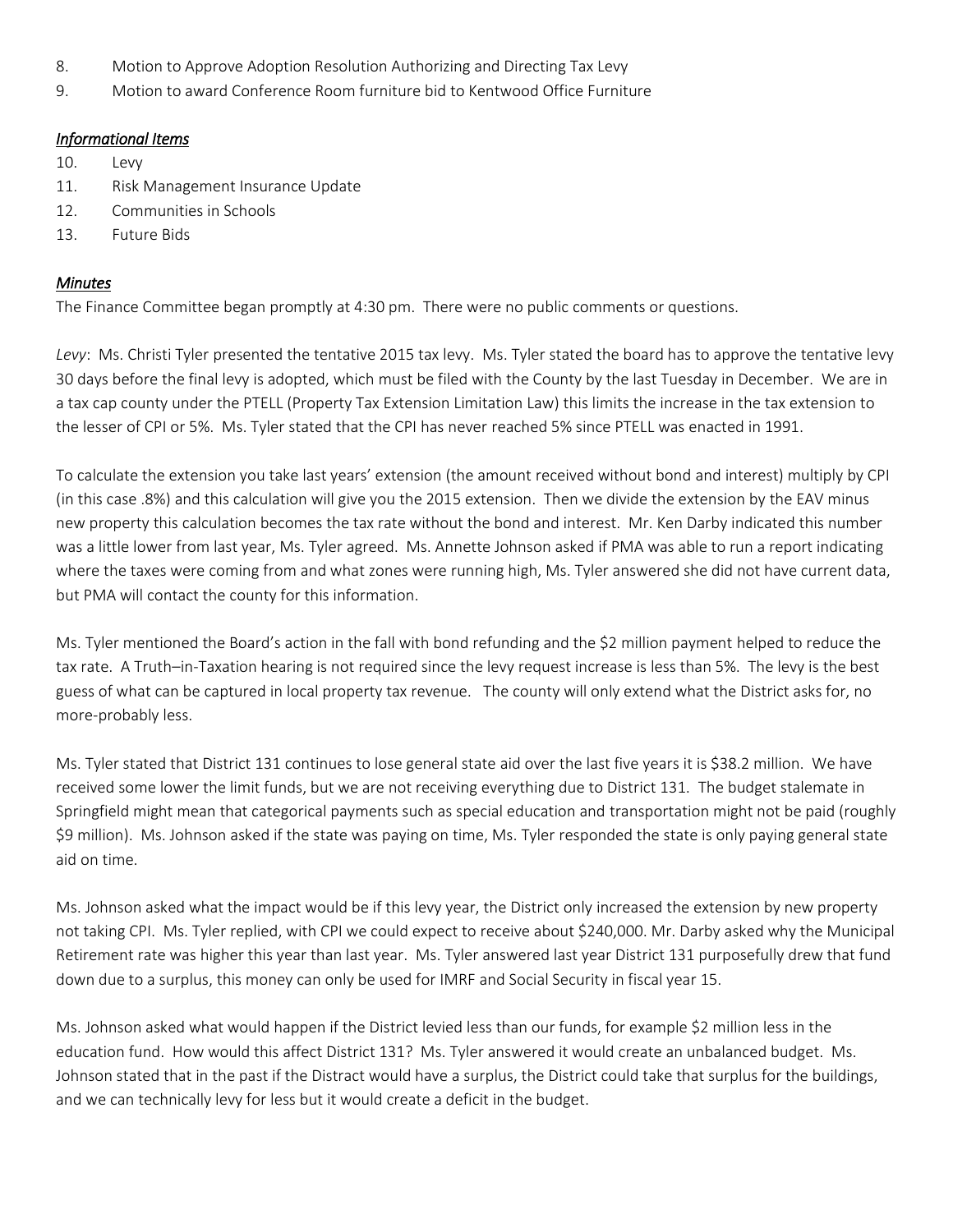- 8. Motion to Approve Adoption Resolution Authorizing and Directing Tax Levy
- 9. Motion to award Conference Room furniture bid to Kentwood Office Furniture

### *Informational Items*

- 10. Levy
- 11. Risk Management Insurance Update
- 12. Communities in Schools
- 13. Future Bids

### *Minutes*

The Finance Committee began promptly at 4:30 pm. There were no public comments or questions.

*Levy*: Ms. Christi Tyler presented the tentative 2015 tax levy. Ms. Tyler stated the board has to approve the tentative levy 30 days before the final levy is adopted, which must be filed with the County by the last Tuesday in December. We are in a tax cap county under the PTELL (Property Tax Extension Limitation Law) this limits the increase in the tax extension to the lesser of CPI or 5%. Ms. Tyler stated that the CPI has never reached 5% since PTELL was enacted in 1991.

To calculate the extension you take last years' extension (the amount received without bond and interest) multiply by CPI (in this case .8%) and this calculation will give you the 2015 extension. Then we divide the extension by the EAV minus new property this calculation becomes the tax rate without the bond and interest. Mr. Ken Darby indicated this number was a little lower from last year, Ms. Tyler agreed. Ms. Annette Johnson asked if PMA was able to run a report indicating where the taxes were coming from and what zones were running high, Ms. Tyler answered she did not have current data, but PMA will contact the county for this information.

Ms. Tyler mentioned the Board's action in the fall with bond refunding and the \$2 million payment helped to reduce the tax rate. A Truth–in-Taxation hearing is not required since the levy request increase is less than 5%. The levy is the best guess of what can be captured in local property tax revenue. The county will only extend what the District asks for, no more-probably less.

Ms. Tyler stated that District 131 continues to lose general state aid over the last five years it is \$38.2 million. We have received some lower the limit funds, but we are not receiving everything due to District 131. The budget stalemate in Springfield might mean that categorical payments such as special education and transportation might not be paid (roughly \$9 million). Ms. Johnson asked if the state was paying on time, Ms. Tyler responded the state is only paying general state aid on time.

Ms. Johnson asked what the impact would be if this levy year, the District only increased the extension by new property not taking CPI. Ms. Tyler replied, with CPI we could expect to receive about \$240,000. Mr. Darby asked why the Municipal Retirement rate was higher this year than last year. Ms. Tyler answered last year District 131 purposefully drew that fund down due to a surplus, this money can only be used for IMRF and Social Security in fiscal year 15.

Ms. Johnson asked what would happen if the District levied less than our funds, for example \$2 million less in the education fund. How would this affect District 131? Ms. Tyler answered it would create an unbalanced budget. Ms. Johnson stated that in the past if the Distract would have a surplus, the District could take that surplus for the buildings, and we can technically levy for less but it would create a deficit in the budget.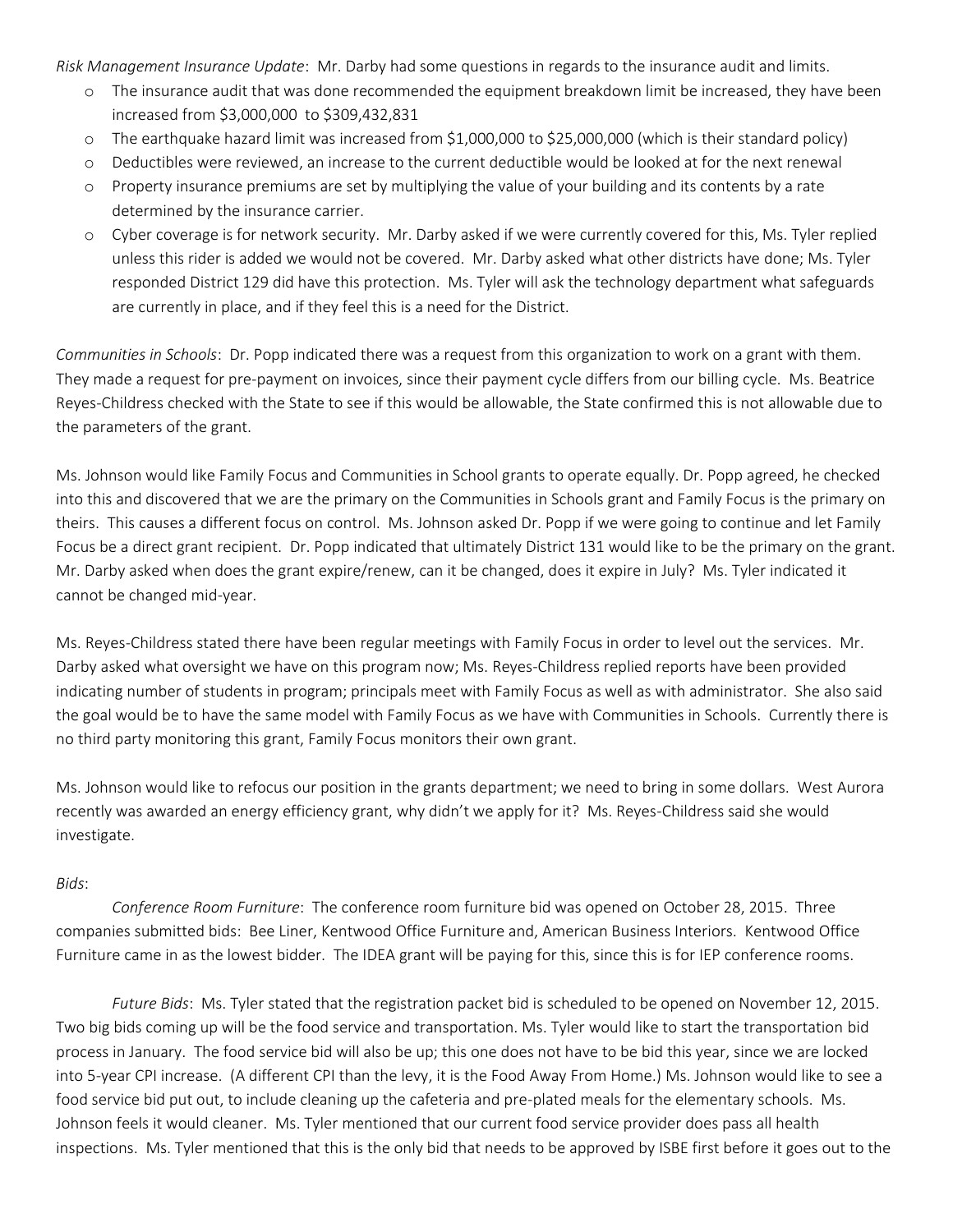*Risk Management Insurance Update*: Mr. Darby had some questions in regards to the insurance audit and limits.

- o The insurance audit that was done recommended the equipment breakdown limit be increased, they have been increased from \$3,000,000 to \$309,432,831
- o The earthquake hazard limit was increased from \$1,000,000 to \$25,000,000 (which is their standard policy)
- o Deductibles were reviewed, an increase to the current deductible would be looked at for the next renewal
- o Property insurance premiums are set by multiplying the value of your building and its contents by a rate determined by the insurance carrier.
- o Cyber coverage is for network security. Mr. Darby asked if we were currently covered for this, Ms. Tyler replied unless this rider is added we would not be covered. Mr. Darby asked what other districts have done; Ms. Tyler responded District 129 did have this protection. Ms. Tyler will ask the technology department what safeguards are currently in place, and if they feel this is a need for the District.

*Communities in Schools*: Dr. Popp indicated there was a request from this organization to work on a grant with them. They made a request for pre-payment on invoices, since their payment cycle differs from our billing cycle. Ms. Beatrice Reyes-Childress checked with the State to see if this would be allowable, the State confirmed this is not allowable due to the parameters of the grant.

Ms. Johnson would like Family Focus and Communities in School grants to operate equally. Dr. Popp agreed, he checked into this and discovered that we are the primary on the Communities in Schools grant and Family Focus is the primary on theirs. This causes a different focus on control. Ms. Johnson asked Dr. Popp if we were going to continue and let Family Focus be a direct grant recipient. Dr. Popp indicated that ultimately District 131 would like to be the primary on the grant. Mr. Darby asked when does the grant expire/renew, can it be changed, does it expire in July? Ms. Tyler indicated it cannot be changed mid-year.

Ms. Reyes-Childress stated there have been regular meetings with Family Focus in order to level out the services. Mr. Darby asked what oversight we have on this program now; Ms. Reyes-Childress replied reports have been provided indicating number of students in program; principals meet with Family Focus as well as with administrator. She also said the goal would be to have the same model with Family Focus as we have with Communities in Schools. Currently there is no third party monitoring this grant, Family Focus monitors their own grant.

Ms. Johnson would like to refocus our position in the grants department; we need to bring in some dollars. West Aurora recently was awarded an energy efficiency grant, why didn't we apply for it? Ms. Reyes-Childress said she would investigate.

#### *Bids*:

*Conference Room Furniture*: The conference room furniture bid was opened on October 28, 2015. Three companies submitted bids: Bee Liner, Kentwood Office Furniture and, American Business Interiors. Kentwood Office Furniture came in as the lowest bidder. The IDEA grant will be paying for this, since this is for IEP conference rooms.

*Future Bids*: Ms. Tyler stated that the registration packet bid is scheduled to be opened on November 12, 2015. Two big bids coming up will be the food service and transportation. Ms. Tyler would like to start the transportation bid process in January. The food service bid will also be up; this one does not have to be bid this year, since we are locked into 5-year CPI increase. (A different CPI than the levy, it is the Food Away From Home.) Ms. Johnson would like to see a food service bid put out, to include cleaning up the cafeteria and pre-plated meals for the elementary schools. Ms. Johnson feels it would cleaner. Ms. Tyler mentioned that our current food service provider does pass all health inspections. Ms. Tyler mentioned that this is the only bid that needs to be approved by ISBE first before it goes out to the